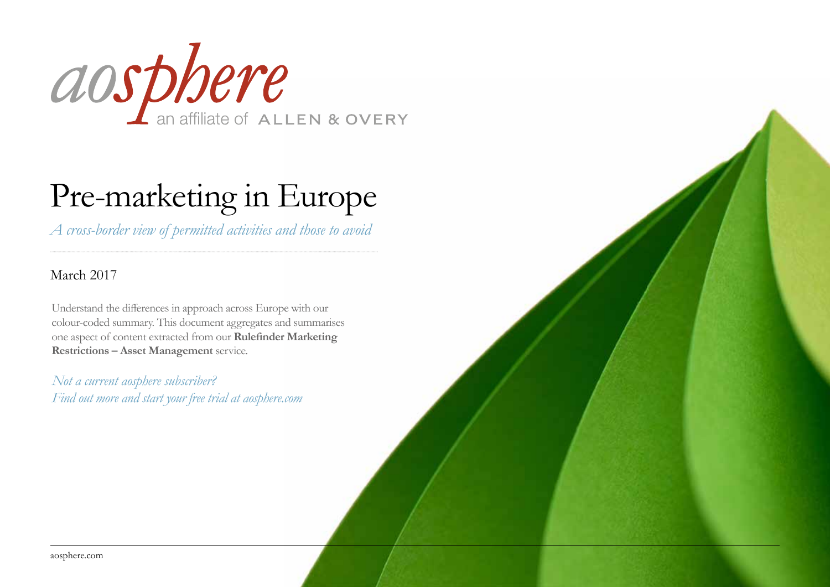

# Pre-marketing in Europe

*A cross-border view of permitted activities and those to avoid*

### March 2017

Understand the differences in approach across Europe with our colour-coded summary. This document aggregates and summarises one aspect of content extracted from our **Rulefinder Marketing Restrictions – Asset Management** service.

*Not a current aosphere subscriber? Find out more and start your free trial at [aosphere.com](http://www.aosphere.com)*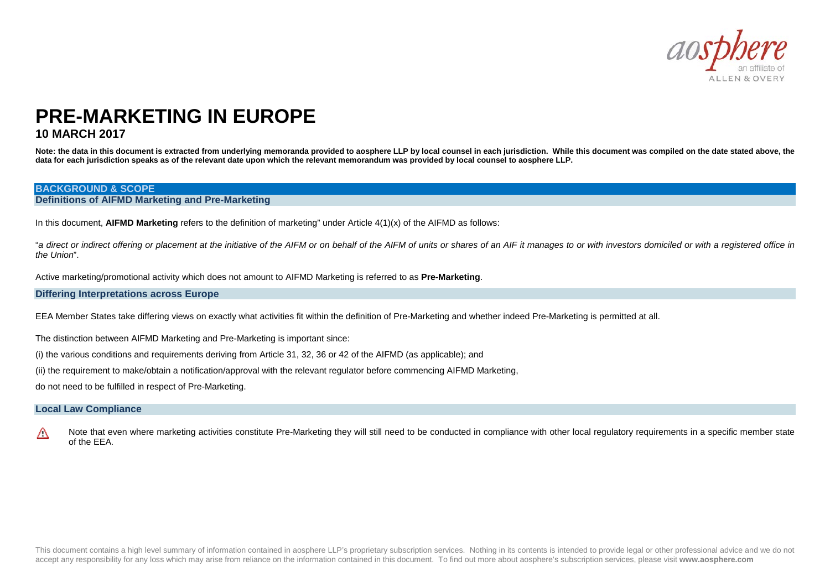

### **PRE-MARKETING IN EUROPE 10 MARCH 2017**

Note: the data in this document is extracted from underlying memoranda provided to aosphere LLP by local counsel in each jurisdiction. While this document was compiled on the date stated above, the **data for each jurisdiction speaks as of the relevant date upon which the relevant memorandum was provided by local counsel to aosphere LLP.** 

#### **BACKGROUND & SCOPE**

#### **Definitions of AIFMD Marketing and Pre-Marketing**

In this document, **AIFMD Marketing** refers to the definition of marketing" under Article 4(1)(x) of the AIFMD as follows:

"*a direct or indirect offering or placement at the initiative of the AIFM or on behalf of the AIFM of units or shares of an AIF it manages to or with investors domiciled or with a registered office in the Union*".

Active marketing/promotional activity which does not amount to AIFMD Marketing is referred to as **Pre-Marketing**.

#### **Differing Interpretations across Europe**

EEA Member States take differing views on exactly what activities fit within the definition of Pre-Marketing and whether indeed Pre-Marketing is permitted at all.

The distinction between AIFMD Marketing and Pre-Marketing is important since:

(i) the various conditions and requirements deriving from Article 31, 32, 36 or 42 of the AIFMD (as applicable); and

(ii) the requirement to make/obtain a notification/approval with the relevant regulator before commencing AIFMD Marketing,

do not need to be fulfilled in respect of Pre-Marketing.

#### **Local Law Compliance**

 $\wedge$ Note that even where marketing activities constitute Pre-Marketing they will still need to be conducted in compliance with other local regulatory requirements in a specific member state of the EEA.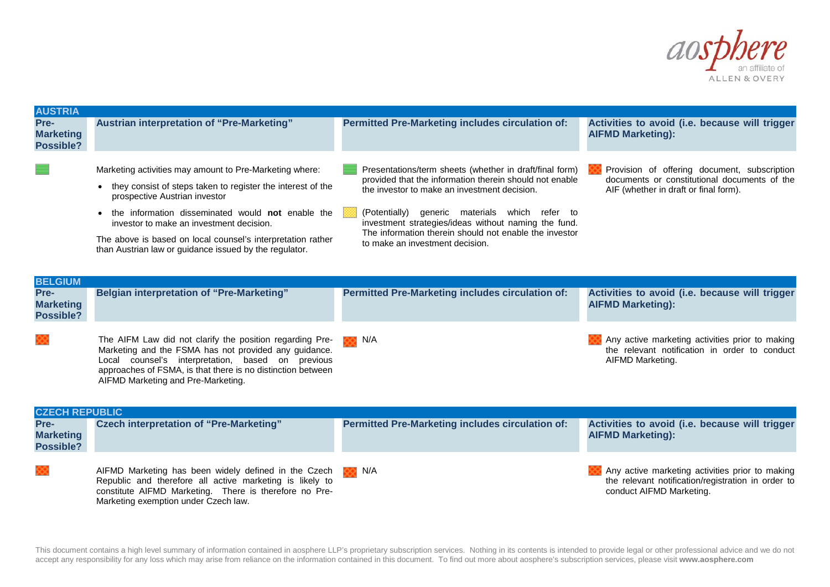

| <b>AUSTRIA</b>                               |                                                                                                                                                                                                                                                                                                                                                                                     |                                                                                                                                                                                                                                                                                                                                                                              |                                                                                                                                       |  |  |  |
|----------------------------------------------|-------------------------------------------------------------------------------------------------------------------------------------------------------------------------------------------------------------------------------------------------------------------------------------------------------------------------------------------------------------------------------------|------------------------------------------------------------------------------------------------------------------------------------------------------------------------------------------------------------------------------------------------------------------------------------------------------------------------------------------------------------------------------|---------------------------------------------------------------------------------------------------------------------------------------|--|--|--|
| Pre-<br><b>Marketing</b><br>Possible?        | <b>Austrian interpretation of "Pre-Marketing"</b>                                                                                                                                                                                                                                                                                                                                   | <b>Permitted Pre-Marketing includes circulation of:</b>                                                                                                                                                                                                                                                                                                                      | Activities to avoid (i.e. because will trigger<br><b>AIFMD Marketing):</b>                                                            |  |  |  |
|                                              | Marketing activities may amount to Pre-Marketing where:<br>• they consist of steps taken to register the interest of the<br>prospective Austrian investor<br>the information disseminated would not enable the<br>investor to make an investment decision.<br>The above is based on local counsel's interpretation rather<br>than Austrian law or guidance issued by the regulator. | Presentations/term sheets (whether in draft/final form)<br>provided that the information therein should not enable<br>the investor to make an investment decision.<br>(Potentially)<br>generic materials which refer to<br>investment strategies/ideas without naming the fund.<br>The information therein should not enable the investor<br>to make an investment decision. | Provision of offering document, subscription<br>documents or constitutional documents of the<br>AIF (whether in draft or final form). |  |  |  |
| <b>BELGIUM</b>                               |                                                                                                                                                                                                                                                                                                                                                                                     |                                                                                                                                                                                                                                                                                                                                                                              |                                                                                                                                       |  |  |  |
| Pre-<br><b>Marketing</b><br><b>Possible?</b> | <b>Belgian interpretation of "Pre-Marketing"</b>                                                                                                                                                                                                                                                                                                                                    | <b>Permitted Pre-Marketing includes circulation of:</b>                                                                                                                                                                                                                                                                                                                      | Activities to avoid (i.e. because will trigger<br><b>AIFMD Marketing):</b>                                                            |  |  |  |
|                                              | The AIFM Law did not clarify the position regarding Pre-<br>Marketing and the FSMA has not provided any guidance.<br>Local counsel's interpretation, based on previous<br>approaches of FSMA, is that there is no distinction between<br>AIFMD Marketing and Pre-Marketing.                                                                                                         | N/A<br>oo.                                                                                                                                                                                                                                                                                                                                                                   | Any active marketing activities prior to making<br>the relevant notification in order to conduct<br>AIFMD Marketing.                  |  |  |  |
| <b>CZECH REPUBLIC</b>                        |                                                                                                                                                                                                                                                                                                                                                                                     |                                                                                                                                                                                                                                                                                                                                                                              |                                                                                                                                       |  |  |  |
| Pre-<br><b>Marketing</b><br>Possible?        | <b>Czech interpretation of "Pre-Marketing"</b>                                                                                                                                                                                                                                                                                                                                      | <b>Permitted Pre-Marketing includes circulation of:</b>                                                                                                                                                                                                                                                                                                                      | Activities to avoid (i.e. because will trigger<br><b>AIFMD Marketing):</b>                                                            |  |  |  |
|                                              | AIFMD Marketing has been widely defined in the Czech<br>Republic and therefore all active marketing is likely to<br>constitute AIFMD Marketing. There is therefore no Pre-<br>Marketing exemption under Czech law.                                                                                                                                                                  | N/A                                                                                                                                                                                                                                                                                                                                                                          | Any active marketing activities prior to making<br>the relevant notification/registration in order to<br>conduct AIFMD Marketing.     |  |  |  |

This document contains a high level summary of information contained in aosphere LLP's proprietary subscription services. Nothing in its contents is intended to provide legal or other professional advice and we do not accept any responsibility for any loss which may arise from reliance on the information contained in this document. To find out more about aosphere's subscription services, please visit **www.aosphere.com**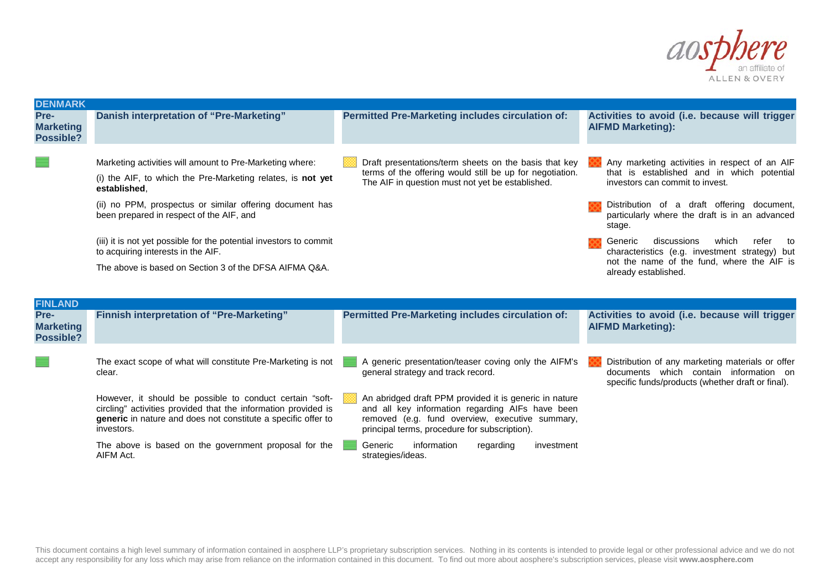

documents which contain information on specific funds/products (whether draft or final).

| <b>DENMARK</b>                        |                                                                                                                                                                                                                                                                                                                                                                                                                       |                                                                                                                                                                       |                                                                                                                                                                                                                                                                                                                                                                                                                    |
|---------------------------------------|-----------------------------------------------------------------------------------------------------------------------------------------------------------------------------------------------------------------------------------------------------------------------------------------------------------------------------------------------------------------------------------------------------------------------|-----------------------------------------------------------------------------------------------------------------------------------------------------------------------|--------------------------------------------------------------------------------------------------------------------------------------------------------------------------------------------------------------------------------------------------------------------------------------------------------------------------------------------------------------------------------------------------------------------|
| Pre-<br><b>Marketing</b><br>Possible? | Danish interpretation of "Pre-Marketing"                                                                                                                                                                                                                                                                                                                                                                              | <b>Permitted Pre-Marketing includes circulation of:</b>                                                                                                               | Activities to avoid (i.e. because will trigger<br><b>AIFMD Marketing):</b>                                                                                                                                                                                                                                                                                                                                         |
|                                       | Marketing activities will amount to Pre-Marketing where:<br>(i) the AIF, to which the Pre-Marketing relates, is not yet<br>established.<br>(ii) no PPM, prospectus or similar offering document has<br>been prepared in respect of the AIF, and<br>(iii) it is not yet possible for the potential investors to commit<br>to acquiring interests in the AIF.<br>The above is based on Section 3 of the DFSA AIFMA Q&A. | Draft presentations/term sheets on the basis that key<br>terms of the offering would still be up for negotiation.<br>The AIF in question must not yet be established. | Any marketing activities in respect of an AIF<br>that is established and in which potential<br>investors can commit to invest.<br>Distribution of a draft offering document,<br>particularly where the draft is in an advanced<br>stage.<br>Generic<br>discussions<br>which<br>refer<br>to<br>characteristics (e.g. investment strategy) but<br>not the name of the fund, where the AIF is<br>already established. |
| <b>FINLAND</b>                        |                                                                                                                                                                                                                                                                                                                                                                                                                       |                                                                                                                                                                       |                                                                                                                                                                                                                                                                                                                                                                                                                    |
| Pre-<br><b>Marketing</b><br>Possible? | Finnish interpretation of "Pre-Marketing"                                                                                                                                                                                                                                                                                                                                                                             | <b>Permitted Pre-Marketing includes circulation of:</b>                                                                                                               | Activities to avoid (i.e. because will trigger<br><b>AIFMD Marketing):</b>                                                                                                                                                                                                                                                                                                                                         |
|                                       | The exact scope of what will constitute Pre-Marketing is not                                                                                                                                                                                                                                                                                                                                                          | A generic presentation/teaser coving only the AIFM's                                                                                                                  | Distribution of any marketing materials or offer                                                                                                                                                                                                                                                                                                                                                                   |

The exact scope of what will constitute Pre-Marketing is not 三日 clear.

However, it should be possible to conduct certain "softcircling" activities provided that the information provided is **generic** in nature and does not constitute a specific offer to investors.

The above is based on the government proposal for the AIFM Act.

A generic presentation/teaser coving only the AIFM's general strategy and track record.

An abridged draft PPM provided it is generic in nature and all key information regarding AIFs have been removed (e.g. fund overview, executive summary, principal terms, procedure for subscription).

Generic information regarding investment strategies/ideas.

This document contains a high level summary of information contained in aosphere LLP's proprietary subscription services. Nothing in its contents is intended to provide legal or other professional advice and we do not accept any responsibility for any loss which may arise from reliance on the information contained in this document. To find out more about aosphere's subscription services, please visit **www.aosphere.com**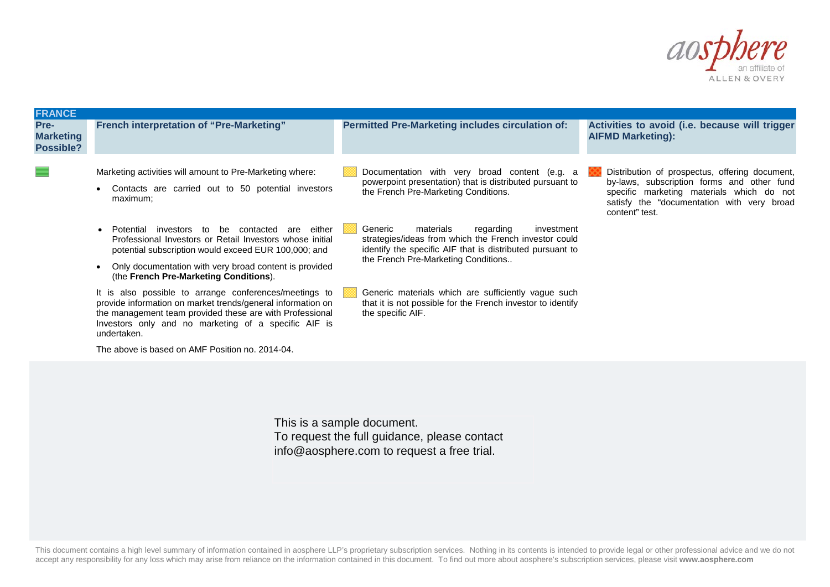

| <b>FRANCE</b>                         |                                                                                                                                                                                                                                                                                           |                                                                                                                                                                                                              |                                                                                                                                                                                                           |
|---------------------------------------|-------------------------------------------------------------------------------------------------------------------------------------------------------------------------------------------------------------------------------------------------------------------------------------------|--------------------------------------------------------------------------------------------------------------------------------------------------------------------------------------------------------------|-----------------------------------------------------------------------------------------------------------------------------------------------------------------------------------------------------------|
| Pre-<br><b>Marketing</b><br>Possible? | <b>French interpretation of "Pre-Marketing"</b>                                                                                                                                                                                                                                           | <b>Permitted Pre-Marketing includes circulation of:</b>                                                                                                                                                      | Activities to avoid (i.e. because will trigger<br><b>AIFMD Marketing):</b>                                                                                                                                |
|                                       | Marketing activities will amount to Pre-Marketing where:<br>Contacts are carried out to 50 potential investors<br>$\bullet$<br>maximum;                                                                                                                                                   | Documentation with very broad content (e.g. a<br>powerpoint presentation) that is distributed pursuant to<br>the French Pre-Marketing Conditions.                                                            | Distribution of prospectus, offering document,<br>by-laws, subscription forms and other fund<br>specific marketing materials which do not<br>satisfy the "documentation with very broad<br>content" test. |
|                                       | either<br>Potential investors to be contacted<br>are<br>$\bullet$<br>Professional Investors or Retail Investors whose initial<br>potential subscription would exceed EUR 100,000; and<br>Only documentation with very broad content is provided<br>(the French Pre-Marketing Conditions). | Generic<br>materials<br>regarding<br>investment<br>strategies/ideas from which the French investor could<br>identify the specific AIF that is distributed pursuant to<br>the French Pre-Marketing Conditions |                                                                                                                                                                                                           |
|                                       | It is also possible to arrange conferences/meetings to<br>provide information on market trends/general information on<br>the management team provided these are with Professional<br>Investors only and no marketing of a specific AIF is<br>undertaken.                                  | Generic materials which are sufficiently vague such<br>that it is not possible for the French investor to identify<br>the specific AIF.                                                                      |                                                                                                                                                                                                           |
|                                       | The above is based on AMF Position no. 2014-04.                                                                                                                                                                                                                                           |                                                                                                                                                                                                              |                                                                                                                                                                                                           |

This is a sample document. To request the full guidance, please contact info@aosphere.com to request a free trial.

This document contains a high level summary of information contained in aosphere LLP's proprietary subscription services. Nothing in its contents is intended to provide legal or other professional advice and we do not accept any responsibility for any loss which may arise from reliance on the information contained in this document. To find out more about aosphere's subscription services, please visit **www.aosphere.com**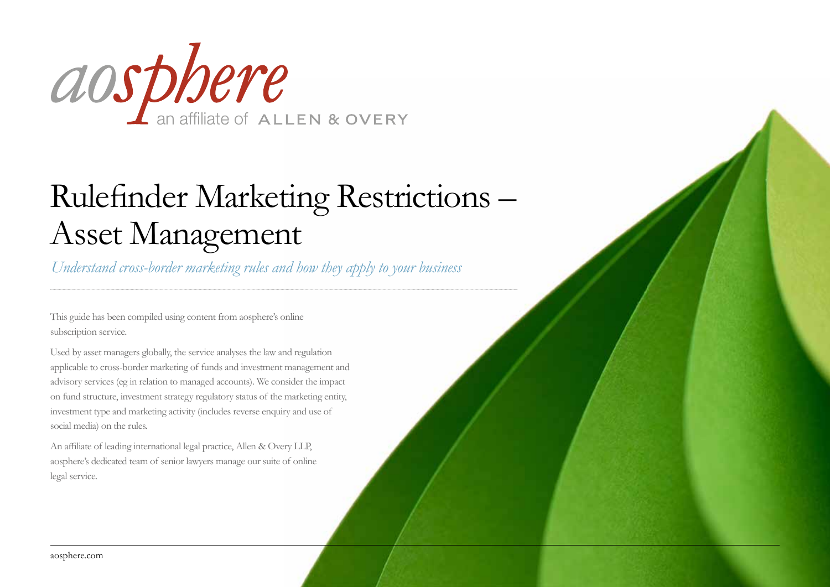

# Rulefinder Marketing Restrictions – Asset Management

*Understand cross-border marketing rules and how they apply to your business*

This guide has been compiled using content from aosphere's online subscription service.

Used by asset managers globally, the service analyses the law and regulation applicable to cross-border marketing of funds and investment management and advisory services (eg in relation to managed accounts). We consider the impact on fund structure, investment strategy regulatory status of the marketing entity, investment type and marketing activity (includes reverse enquiry and use of social media) on the rules.

An affiliate of leading international legal practice, Allen & Overy LLP, aosphere's dedicated team of senior lawyers manage our suite of online legal service.